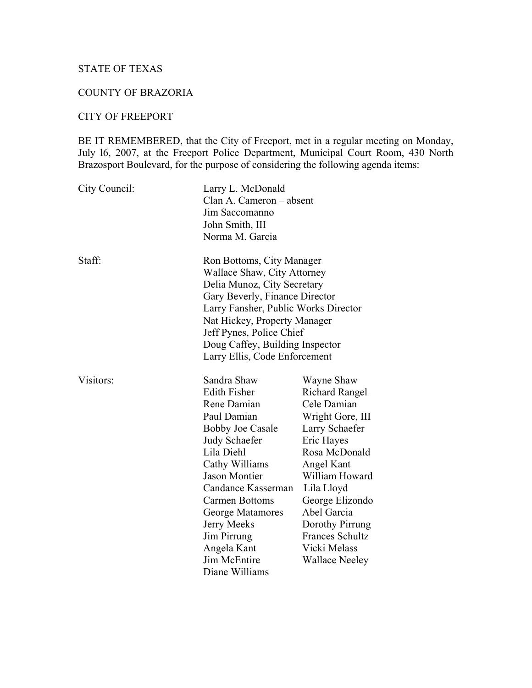# STATE OF TEXAS

# COUNTY OF BRAZORIA

#### CITY OF FREEPORT

BE IT REMEMBERED, that the City of Freeport, met in a regular meeting on Monday, July l6, 2007, at the Freeport Police Department, Municipal Court Room, 430 North Brazosport Boulevard, for the purpose of considering the following agenda items:

| City Council: | Larry L. McDonald<br>Clan A. Cameron - absent<br>Jim Saccomanno<br>John Smith, III<br>Norma M. Garcia                                                                                                                                                                                                                                |                                                                                                                                                                                                                                                                                               |
|---------------|--------------------------------------------------------------------------------------------------------------------------------------------------------------------------------------------------------------------------------------------------------------------------------------------------------------------------------------|-----------------------------------------------------------------------------------------------------------------------------------------------------------------------------------------------------------------------------------------------------------------------------------------------|
| Staff:        | Ron Bottoms, City Manager<br>Wallace Shaw, City Attorney<br>Delia Munoz, City Secretary<br>Gary Beverly, Finance Director<br>Larry Fansher, Public Works Director<br>Nat Hickey, Property Manager<br>Jeff Pynes, Police Chief<br>Doug Caffey, Building Inspector<br>Larry Ellis, Code Enforcement                                    |                                                                                                                                                                                                                                                                                               |
| Visitors:     | Sandra Shaw<br><b>Edith Fisher</b><br>Rene Damian<br>Paul Damian<br><b>Bobby Joe Casale</b><br><b>Judy Schaefer</b><br>Lila Diehl<br>Cathy Williams<br><b>Jason Montier</b><br>Candance Kasserman<br><b>Carmen Bottoms</b><br>George Matamores<br>Jerry Meeks<br>Jim Pirrung<br>Angela Kant<br><b>Jim McEntire</b><br>Diane Williams | Wayne Shaw<br><b>Richard Rangel</b><br>Cele Damian<br>Wright Gore, III<br>Larry Schaefer<br>Eric Hayes<br>Rosa McDonald<br>Angel Kant<br>William Howard<br>Lila Lloyd<br>George Elizondo<br>Abel Garcia<br>Dorothy Pirrung<br><b>Frances Schultz</b><br>Vicki Melass<br><b>Wallace Neeley</b> |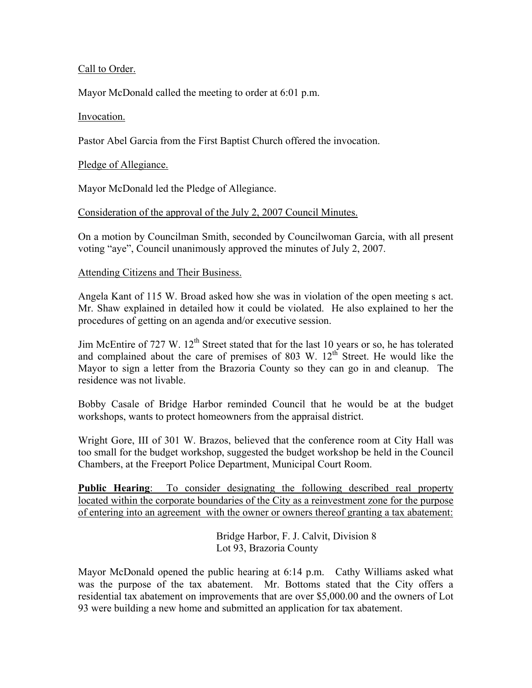## Call to Order.

Mayor McDonald called the meeting to order at 6:01 p.m.

#### Invocation.

Pastor Abel Garcia from the First Baptist Church offered the invocation.

#### Pledge of Allegiance.

Mayor McDonald led the Pledge of Allegiance.

#### Consideration of the approval of the July 2, 2007 Council Minutes.

On a motion by Councilman Smith, seconded by Councilwoman Garcia, with all present voting "aye", Council unanimously approved the minutes of July 2, 2007.

#### Attending Citizens and Their Business.

Angela Kant of 115 W. Broad asked how she was in violation of the open meeting s act. Mr. Shaw explained in detailed how it could be violated. He also explained to her the procedures of getting on an agenda and/or executive session.

Jim McEntire of 727 W. 12<sup>th</sup> Street stated that for the last 10 years or so, he has tolerated and complained about the care of premises of 803 W.  $12<sup>th</sup>$  Street. He would like the Mayor to sign a letter from the Brazoria County so they can go in and cleanup. The residence was not livable.

Bobby Casale of Bridge Harbor reminded Council that he would be at the budget workshops, wants to protect homeowners from the appraisal district.

Wright Gore, III of 301 W. Brazos, believed that the conference room at City Hall was too small for the budget workshop, suggested the budget workshop be held in the Council Chambers, at the Freeport Police Department, Municipal Court Room.

**Public Hearing**: To consider designating the following described real property located within the corporate boundaries of the City as a reinvestment zone for the purpose of entering into an agreement with the owner or owners thereof granting a tax abatement:

> Bridge Harbor, F. J. Calvit, Division 8 Lot 93, Brazoria County

Mayor McDonald opened the public hearing at 6:14 p.m. Cathy Williams asked what was the purpose of the tax abatement. Mr. Bottoms stated that the City offers a residential tax abatement on improvements that are over \$5,000.00 and the owners of Lot 93 were building a new home and submitted an application for tax abatement.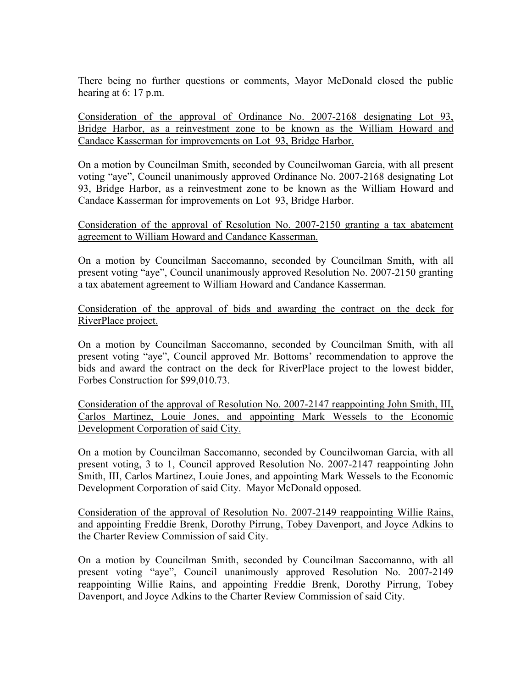There being no further questions or comments, Mayor McDonald closed the public hearing at 6: 17 p.m.

Consideration of the approval of Ordinance No. 2007-2168 designating Lot 93, Bridge Harbor, as a reinvestment zone to be known as the William Howard and Candace Kasserman for improvements on Lot 93, Bridge Harbor.

On a motion by Councilman Smith, seconded by Councilwoman Garcia, with all present voting "aye", Council unanimously approved Ordinance No. 2007-2168 designating Lot 93, Bridge Harbor, as a reinvestment zone to be known as the William Howard and Candace Kasserman for improvements on Lot 93, Bridge Harbor.

Consideration of the approval of Resolution No. 2007-2150 granting a tax abatement agreement to William Howard and Candance Kasserman.

On a motion by Councilman Saccomanno, seconded by Councilman Smith, with all present voting "aye", Council unanimously approved Resolution No. 2007-2150 granting a tax abatement agreement to William Howard and Candance Kasserman.

Consideration of the approval of bids and awarding the contract on the deck for RiverPlace project.

On a motion by Councilman Saccomanno, seconded by Councilman Smith, with all present voting "aye", Council approved Mr. Bottoms' recommendation to approve the bids and award the contract on the deck for RiverPlace project to the lowest bidder, Forbes Construction for \$99,010.73.

Consideration of the approval of Resolution No. 2007-2147 reappointing John Smith, III, Carlos Martinez, Louie Jones, and appointing Mark Wessels to the Economic Development Corporation of said City.

On a motion by Councilman Saccomanno, seconded by Councilwoman Garcia, with all present voting, 3 to 1, Council approved Resolution No. 2007-2147 reappointing John Smith, III, Carlos Martinez, Louie Jones, and appointing Mark Wessels to the Economic Development Corporation of said City. Mayor McDonald opposed.

Consideration of the approval of Resolution No. 2007-2149 reappointing Willie Rains, and appointing Freddie Brenk, Dorothy Pirrung, Tobey Davenport, and Joyce Adkins to the Charter Review Commission of said City.

On a motion by Councilman Smith, seconded by Councilman Saccomanno, with all present voting "aye", Council unanimously approved Resolution No. 2007-2149 reappointing Willie Rains, and appointing Freddie Brenk, Dorothy Pirrung, Tobey Davenport, and Joyce Adkins to the Charter Review Commission of said City.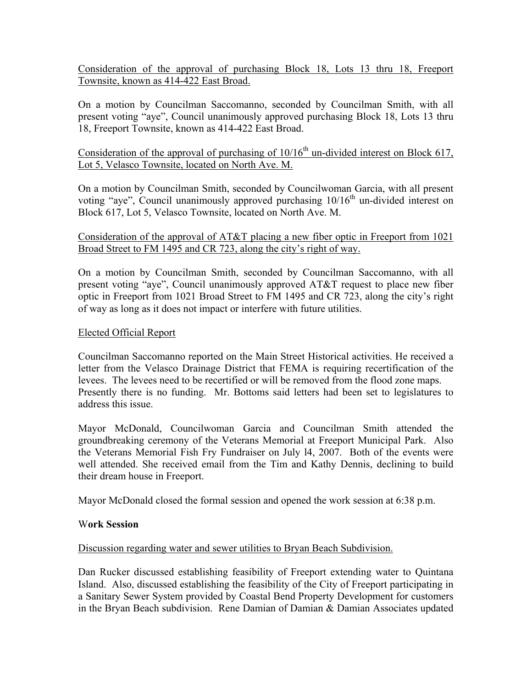Consideration of the approval of purchasing Block 18, Lots 13 thru 18, Freeport Townsite, known as 414-422 East Broad.

On a motion by Councilman Saccomanno, seconded by Councilman Smith, with all present voting "aye", Council unanimously approved purchasing Block 18, Lots 13 thru 18, Freeport Townsite, known as 414-422 East Broad.

# Consideration of the approval of purchasing of  $10/16<sup>th</sup>$  un-divided interest on Block 617, Lot 5, Velasco Townsite, located on North Ave. M.

On a motion by Councilman Smith, seconded by Councilwoman Garcia, with all present voting "aye", Council unanimously approved purchasing  $10/16<sup>th</sup>$  un-divided interest on Block 617, Lot 5, Velasco Townsite, located on North Ave. M.

## Consideration of the approval of AT&T placing a new fiber optic in Freeport from 1021 Broad Street to FM 1495 and CR 723, along the city's right of way.

On a motion by Councilman Smith, seconded by Councilman Saccomanno, with all present voting "aye", Council unanimously approved AT&T request to place new fiber optic in Freeport from 1021 Broad Street to FM 1495 and CR 723, along the city's right of way as long as it does not impact or interfere with future utilities.

# Elected Official Report

Councilman Saccomanno reported on the Main Street Historical activities. He received a letter from the Velasco Drainage District that FEMA is requiring recertification of the levees. The levees need to be recertified or will be removed from the flood zone maps. Presently there is no funding. Mr. Bottoms said letters had been set to legislatures to address this issue.

Mayor McDonald, Councilwoman Garcia and Councilman Smith attended the groundbreaking ceremony of the Veterans Memorial at Freeport Municipal Park. Also the Veterans Memorial Fish Fry Fundraiser on July l4, 2007. Both of the events were well attended. She received email from the Tim and Kathy Dennis, declining to build their dream house in Freeport.

Mayor McDonald closed the formal session and opened the work session at 6:38 p.m.

## W**ork Session**

## Discussion regarding water and sewer utilities to Bryan Beach Subdivision.

Dan Rucker discussed establishing feasibility of Freeport extending water to Quintana Island. Also, discussed establishing the feasibility of the City of Freeport participating in a Sanitary Sewer System provided by Coastal Bend Property Development for customers in the Bryan Beach subdivision. Rene Damian of Damian & Damian Associates updated